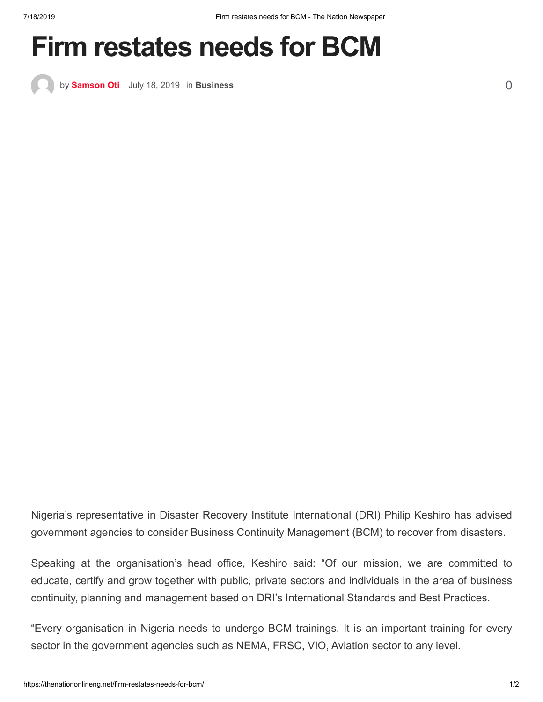## **Firm restates needs for BCM**

by **[Samson Oti](https://thenationonlineng.net/author/oamen/)** [July 18, 2019](https://thenationonlineng.net/firm-restates-needs-for-bcm/) in **[Business](https://thenationonlineng.net/category/business/)** [0](https://thenationonlineng.net/firm-restates-needs-for-bcm/#comments)

Nigeria's representative in Disaster Recovery Institute International (DRI) Philip Keshiro has advised government agencies to consider Business Continuity Management (BCM) to recover from disasters.

Speaking at the organisation's head office, Keshiro said: "Of our mission, we are committed to educate, certify and grow together with public, private sectors and individuals in the area of business continuity, planning and management based on DRI's International Standards and Best Practices.

"Every organisation in Nigeria needs to undergo BCM trainings. It is an important training for every sector in the government agencies such as NEMA, FRSC, VIO, Aviation sector to any level.